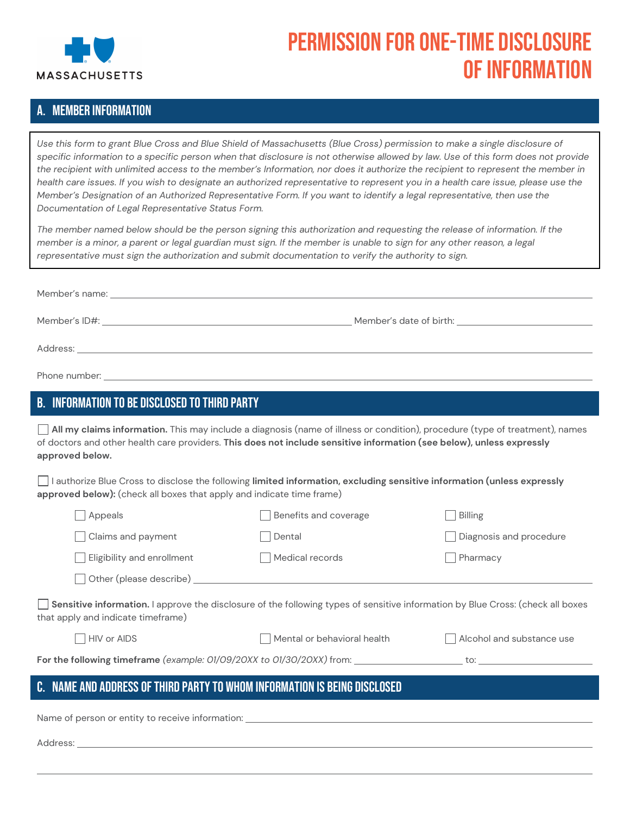

# Permission for One-Time Disclosure of Information

## A. Member Information

*Use this form to grant Blue Cross and Blue Shield of Massachusetts (Blue Cross) permission to make a single disclosure of specific information to a specific person when that disclosure is not otherwise allowed by law. Use of this form does not provide the recipient with unlimited access to the member's Information, nor does it authorize the recipient to represent the member in health care issues. If you wish to designate an authorized representative to represent you in a health care issue, please use the Member's Designation of an Authorized Representative Form. If you want to identify a legal representative, then use the Documentation of Legal Representative Status Form.*

*The member named below should be the person signing this authorization and requesting the release of information. If the member is a minor, a parent or legal guardian must sign. If the member is unable to sign for any other reason, a legal representative must sign the authorization and submit documentation to verify the authority to sign.*

| <b>B. INFORMATION TO BE DISCLOSED TO THIRD PARTY</b><br>All my claims information. This may include a diagnosis (name of illness or condition), procedure (type of treatment), names<br>of doctors and other health care providers. This does not include sensitive information (see below), unless expressly<br>approved below.<br>I authorize Blue Cross to disclose the following limited information, excluding sensitive information (unless expressly<br>approved below): (check all boxes that apply and indicate time frame)<br>Benefits and coverage<br>Appeals<br>Billing<br>Claims and payment<br>Dental<br>Diagnosis and procedure<br>Eligibility and enrollment<br>Medical records<br>Pharmacy<br>Other (please describe) National Assembly of the Contract of the Contract of the Contract of the Contract of the Contract of the Contract of the Contract of the Contract of the Contract of the Contract of the Contract of t<br>Sensitive information. I approve the disclosure of the following types of sensitive information by Blue Cross: (check all boxes<br>that apply and indicate timeframe)<br>$\Box$ HIV or AIDS<br>Mental or behavioral health<br>Alcohol and substance use<br>C. NAME AND ADDRESS OF THIRD PARTY TO WHOM INFORMATION IS BEING DISCLOSED |  |  |  |  |
|---------------------------------------------------------------------------------------------------------------------------------------------------------------------------------------------------------------------------------------------------------------------------------------------------------------------------------------------------------------------------------------------------------------------------------------------------------------------------------------------------------------------------------------------------------------------------------------------------------------------------------------------------------------------------------------------------------------------------------------------------------------------------------------------------------------------------------------------------------------------------------------------------------------------------------------------------------------------------------------------------------------------------------------------------------------------------------------------------------------------------------------------------------------------------------------------------------------------------------------------------------------------------------------|--|--|--|--|
|                                                                                                                                                                                                                                                                                                                                                                                                                                                                                                                                                                                                                                                                                                                                                                                                                                                                                                                                                                                                                                                                                                                                                                                                                                                                                       |  |  |  |  |
|                                                                                                                                                                                                                                                                                                                                                                                                                                                                                                                                                                                                                                                                                                                                                                                                                                                                                                                                                                                                                                                                                                                                                                                                                                                                                       |  |  |  |  |
|                                                                                                                                                                                                                                                                                                                                                                                                                                                                                                                                                                                                                                                                                                                                                                                                                                                                                                                                                                                                                                                                                                                                                                                                                                                                                       |  |  |  |  |
|                                                                                                                                                                                                                                                                                                                                                                                                                                                                                                                                                                                                                                                                                                                                                                                                                                                                                                                                                                                                                                                                                                                                                                                                                                                                                       |  |  |  |  |
|                                                                                                                                                                                                                                                                                                                                                                                                                                                                                                                                                                                                                                                                                                                                                                                                                                                                                                                                                                                                                                                                                                                                                                                                                                                                                       |  |  |  |  |
|                                                                                                                                                                                                                                                                                                                                                                                                                                                                                                                                                                                                                                                                                                                                                                                                                                                                                                                                                                                                                                                                                                                                                                                                                                                                                       |  |  |  |  |
|                                                                                                                                                                                                                                                                                                                                                                                                                                                                                                                                                                                                                                                                                                                                                                                                                                                                                                                                                                                                                                                                                                                                                                                                                                                                                       |  |  |  |  |
|                                                                                                                                                                                                                                                                                                                                                                                                                                                                                                                                                                                                                                                                                                                                                                                                                                                                                                                                                                                                                                                                                                                                                                                                                                                                                       |  |  |  |  |
|                                                                                                                                                                                                                                                                                                                                                                                                                                                                                                                                                                                                                                                                                                                                                                                                                                                                                                                                                                                                                                                                                                                                                                                                                                                                                       |  |  |  |  |
|                                                                                                                                                                                                                                                                                                                                                                                                                                                                                                                                                                                                                                                                                                                                                                                                                                                                                                                                                                                                                                                                                                                                                                                                                                                                                       |  |  |  |  |
|                                                                                                                                                                                                                                                                                                                                                                                                                                                                                                                                                                                                                                                                                                                                                                                                                                                                                                                                                                                                                                                                                                                                                                                                                                                                                       |  |  |  |  |
|                                                                                                                                                                                                                                                                                                                                                                                                                                                                                                                                                                                                                                                                                                                                                                                                                                                                                                                                                                                                                                                                                                                                                                                                                                                                                       |  |  |  |  |
|                                                                                                                                                                                                                                                                                                                                                                                                                                                                                                                                                                                                                                                                                                                                                                                                                                                                                                                                                                                                                                                                                                                                                                                                                                                                                       |  |  |  |  |
|                                                                                                                                                                                                                                                                                                                                                                                                                                                                                                                                                                                                                                                                                                                                                                                                                                                                                                                                                                                                                                                                                                                                                                                                                                                                                       |  |  |  |  |

Name of person or entity to receive information:

Address: